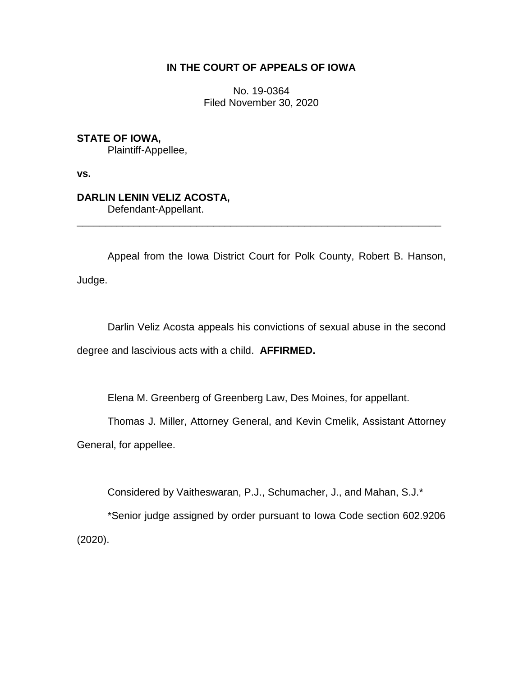# **IN THE COURT OF APPEALS OF IOWA**

No. 19-0364 Filed November 30, 2020

**STATE OF IOWA,** Plaintiff-Appellee,

**vs.**

# **DARLIN LENIN VELIZ ACOSTA,**

Defendant-Appellant. \_\_\_\_\_\_\_\_\_\_\_\_\_\_\_\_\_\_\_\_\_\_\_\_\_\_\_\_\_\_\_\_\_\_\_\_\_\_\_\_\_\_\_\_\_\_\_\_\_\_\_\_\_\_\_\_\_\_\_\_\_\_\_\_

Appeal from the Iowa District Court for Polk County, Robert B. Hanson, Judge.

Darlin Veliz Acosta appeals his convictions of sexual abuse in the second degree and lascivious acts with a child. **AFFIRMED.**

Elena M. Greenberg of Greenberg Law, Des Moines, for appellant.

Thomas J. Miller, Attorney General, and Kevin Cmelik, Assistant Attorney

General, for appellee.

Considered by Vaitheswaran, P.J., Schumacher, J., and Mahan, S.J.\*

\*Senior judge assigned by order pursuant to Iowa Code section 602.9206 (2020).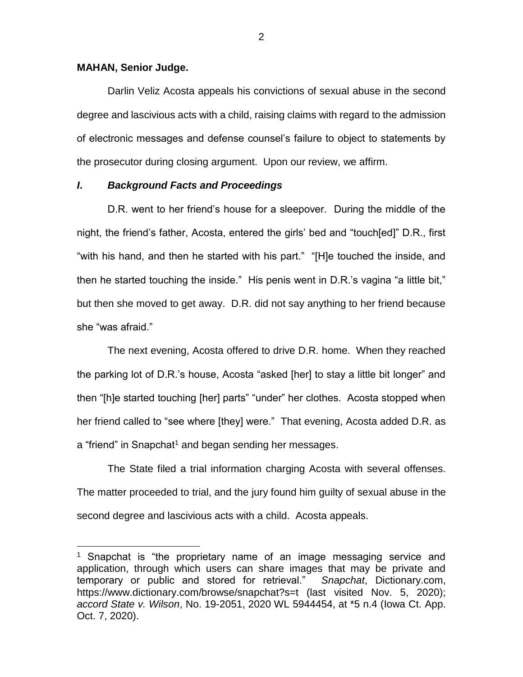#### **MAHAN, Senior Judge.**

 $\overline{a}$ 

Darlin Veliz Acosta appeals his convictions of sexual abuse in the second degree and lascivious acts with a child, raising claims with regard to the admission of electronic messages and defense counsel's failure to object to statements by the prosecutor during closing argument. Upon our review, we affirm.

### *I***.** *Background Facts and Proceedings*

D.R. went to her friend's house for a sleepover. During the middle of the night, the friend's father, Acosta, entered the girls' bed and "touch[ed]" D.R., first "with his hand, and then he started with his part." "[H]e touched the inside, and then he started touching the inside." His penis went in D.R.'s vagina "a little bit," but then she moved to get away. D.R. did not say anything to her friend because she "was afraid."

The next evening, Acosta offered to drive D.R. home. When they reached the parking lot of D.R.'s house, Acosta "asked [her] to stay a little bit longer" and then "[h]e started touching [her] parts" "under" her clothes. Acosta stopped when her friend called to "see where [they] were." That evening, Acosta added D.R. as a "friend" in Snapchat<sup>1</sup> and began sending her messages.

The State filed a trial information charging Acosta with several offenses. The matter proceeded to trial, and the jury found him guilty of sexual abuse in the second degree and lascivious acts with a child. Acosta appeals.

<sup>&</sup>lt;sup>1</sup> Snapchat is "the proprietary name of an image messaging service and application, through which users can share images that may be private and temporary or public and stored for retrieval." *Snapchat*, Dictionary.com, https://www.dictionary.com/browse/snapchat?s=t (last visited Nov. 5, 2020); *accord State v. Wilson*, No. 19-2051, 2020 WL 5944454, at \*5 n.4 (Iowa Ct. App. Oct. 7, 2020).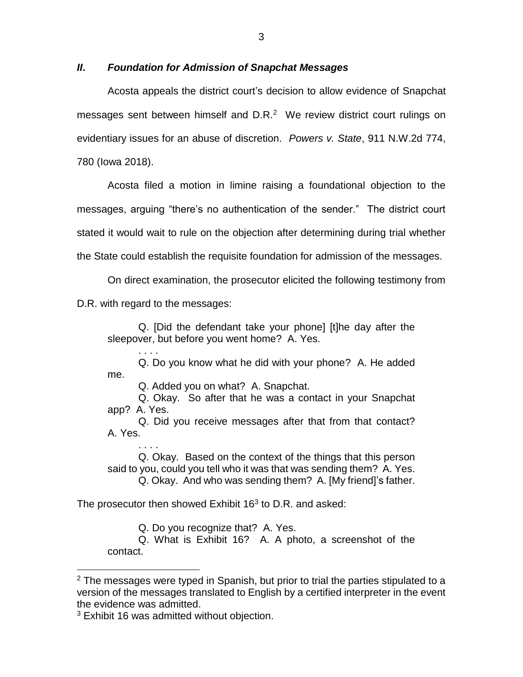## *II***.** *Foundation for Admission of Snapchat Messages*

Acosta appeals the district court's decision to allow evidence of Snapchat messages sent between himself and  $D.R.^2$  We review district court rulings on evidentiary issues for an abuse of discretion. *Powers v. State*, 911 N.W.2d 774, 780 (Iowa 2018).

Acosta filed a motion in limine raising a foundational objection to the messages, arguing "there's no authentication of the sender." The district court stated it would wait to rule on the objection after determining during trial whether the State could establish the requisite foundation for admission of the messages.

On direct examination, the prosecutor elicited the following testimony from

D.R. with regard to the messages:

Q. [Did the defendant take your phone] [t]he day after the sleepover, but before you went home? A. Yes.

. . . . Q. Do you know what he did with your phone? A. He added me.

Q. Added you on what? A. Snapchat.

Q. Okay. So after that he was a contact in your Snapchat app? A. Yes.

Q. Did you receive messages after that from that contact? A. Yes.

. . . . Q. Okay. Based on the context of the things that this person said to you, could you tell who it was that was sending them? A. Yes.

Q. Okay. And who was sending them? A. [My friend]'s father.

The prosecutor then showed Exhibit  $16<sup>3</sup>$  to D.R. and asked:

Q. Do you recognize that? A. Yes.

Q. What is Exhibit 16? A. A photo, a screenshot of the contact.

 $\overline{a}$ 

 $2$  The messages were typed in Spanish, but prior to trial the parties stipulated to a version of the messages translated to English by a certified interpreter in the event the evidence was admitted.

<sup>&</sup>lt;sup>3</sup> Exhibit 16 was admitted without objection.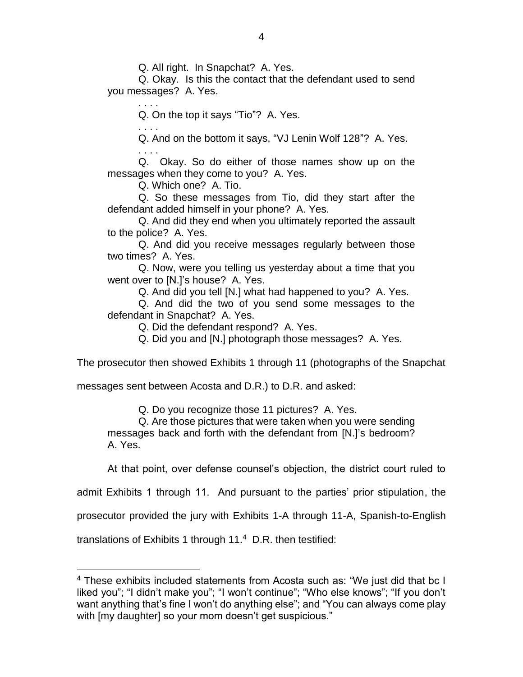Q. All right. In Snapchat? A. Yes.

Q. Okay. Is this the contact that the defendant used to send you messages? A. Yes.

Q. On the top it says "Tio"? A. Yes.

. . . . Q. And on the bottom it says, "VJ Lenin Wolf 128"? A. Yes.

. . . . Q. Okay. So do either of those names show up on the messages when they come to you? A. Yes.

Q. Which one? A. Tio.

. . . .

Q. So these messages from Tio, did they start after the defendant added himself in your phone? A. Yes.

Q. And did they end when you ultimately reported the assault to the police? A. Yes.

Q. And did you receive messages regularly between those two times? A. Yes.

Q. Now, were you telling us yesterday about a time that you went over to [N.]'s house? A. Yes.

Q. And did you tell [N.] what had happened to you? A. Yes.

Q. And did the two of you send some messages to the defendant in Snapchat? A. Yes.

Q. Did the defendant respond? A. Yes.

Q. Did you and [N.] photograph those messages? A. Yes.

The prosecutor then showed Exhibits 1 through 11 (photographs of the Snapchat

messages sent between Acosta and D.R.) to D.R. and asked:

Q. Do you recognize those 11 pictures? A. Yes.

Q. Are those pictures that were taken when you were sending messages back and forth with the defendant from [N.]'s bedroom? A. Yes.

At that point, over defense counsel's objection, the district court ruled to

admit Exhibits 1 through 11. And pursuant to the parties' prior stipulation, the

prosecutor provided the jury with Exhibits 1-A through 11-A, Spanish-to-English

translations of Exhibits 1 through 11.<sup>4</sup> D.R. then testified:

 $\overline{a}$ 

 $^4$  These exhibits included statements from Acosta such as: "We just did that bc I liked you"; "I didn't make you"; "I won't continue"; "Who else knows"; "If you don't want anything that's fine I won't do anything else"; and "You can always come play with [my daughter] so your mom doesn't get suspicious."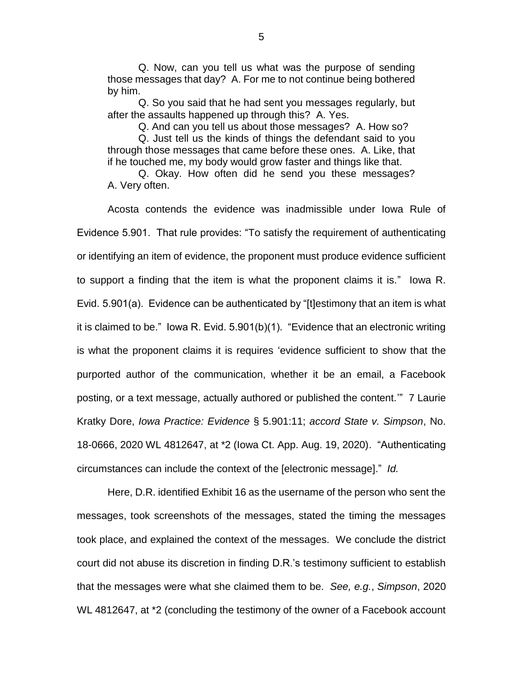Q. Now, can you tell us what was the purpose of sending those messages that day? A. For me to not continue being bothered by him.

Q. So you said that he had sent you messages regularly, but after the assaults happened up through this? A. Yes.

Q. And can you tell us about those messages? A. How so?

Q. Just tell us the kinds of things the defendant said to you through those messages that came before these ones. A. Like, that if he touched me, my body would grow faster and things like that.

Q. Okay. How often did he send you these messages? A. Very often.

Acosta contends the evidence was inadmissible under Iowa Rule of Evidence 5.901. That rule provides: "To satisfy the requirement of authenticating or identifying an item of evidence, the proponent must produce evidence sufficient to support a finding that the item is what the proponent claims it is." Iowa R. Evid. 5.901(a). Evidence can be authenticated by "[t]estimony that an item is what it is claimed to be." Iowa R. Evid. 5.901(b)(1). "Evidence that an electronic writing is what the proponent claims it is requires 'evidence sufficient to show that the purported author of the communication, whether it be an email, a Facebook posting, or a text message, actually authored or published the content.'" 7 Laurie Kratky Dore, *Iowa Practice: Evidence* § 5.901:11; *accord State v. Simpson*, No. 18-0666, 2020 WL 4812647, at \*2 (Iowa Ct. App. Aug. 19, 2020). "Authenticating circumstances can include the context of the [electronic message]." *Id.*

Here, D.R. identified Exhibit 16 as the username of the person who sent the messages, took screenshots of the messages, stated the timing the messages took place, and explained the context of the messages. We conclude the district court did not abuse its discretion in finding D.R.'s testimony sufficient to establish that the messages were what she claimed them to be. *See, e.g.*, *Simpson*, 2020 WL 4812647, at \*2 (concluding the testimony of the owner of a Facebook account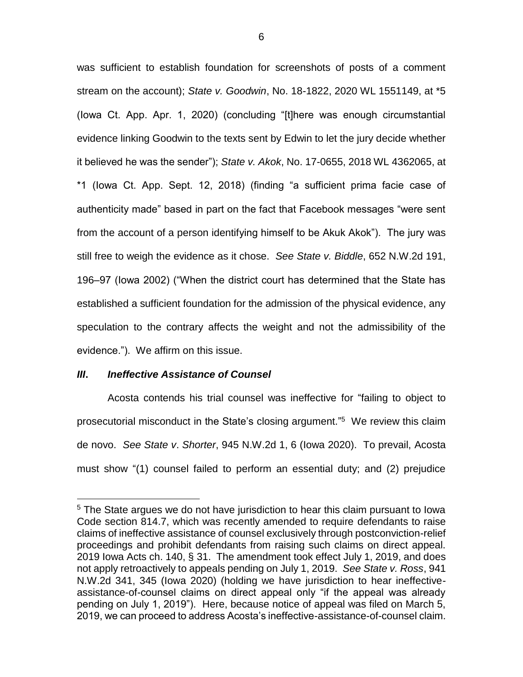was sufficient to establish foundation for screenshots of posts of a comment stream on the account); *State v. Goodwin*, No. 18-1822, 2020 WL 1551149, at \*5 (Iowa Ct. App. Apr. 1, 2020) (concluding "[t]here was enough circumstantial evidence linking Goodwin to the texts sent by Edwin to let the jury decide whether it believed he was the sender"); *State v. Akok*, No. 17-0655, 2018 WL 4362065, at \*1 (Iowa Ct. App. Sept. 12, 2018) (finding "a sufficient prima facie case of authenticity made" based in part on the fact that Facebook messages "were sent from the account of a person identifying himself to be Akuk Akok"). The jury was still free to weigh the evidence as it chose. *See State v. Biddle*, 652 N.W.2d 191, 196–97 (Iowa 2002) ("When the district court has determined that the State has established a sufficient foundation for the admission of the physical evidence, any speculation to the contrary affects the weight and not the admissibility of the evidence."). We affirm on this issue.

#### *III***.** *Ineffective Assistance of Counsel*

 $\overline{a}$ 

Acosta contends his trial counsel was ineffective for "failing to object to prosecutorial misconduct in the State's closing argument." 5 We review this claim de novo. *See State v*. *Shorter*, 945 N.W.2d 1, 6 (Iowa 2020). To prevail, Acosta must show "(1) counsel failed to perform an essential duty; and (2) prejudice

<sup>&</sup>lt;sup>5</sup> The State argues we do not have jurisdiction to hear this claim pursuant to lowa Code section 814.7, which was recently amended to require defendants to raise claims of ineffective assistance of counsel exclusively through postconviction-relief proceedings and prohibit defendants from raising such claims on direct appeal. 2019 Iowa Acts ch. 140, § 31. The amendment took effect July 1, 2019, and does not apply retroactively to appeals pending on July 1, 2019. *See State v. Ross*, 941 N.W.2d 341, 345 (Iowa 2020) (holding we have jurisdiction to hear ineffectiveassistance-of-counsel claims on direct appeal only "if the appeal was already pending on July 1, 2019"). Here, because notice of appeal was filed on March 5, 2019, we can proceed to address Acosta's ineffective-assistance-of-counsel claim.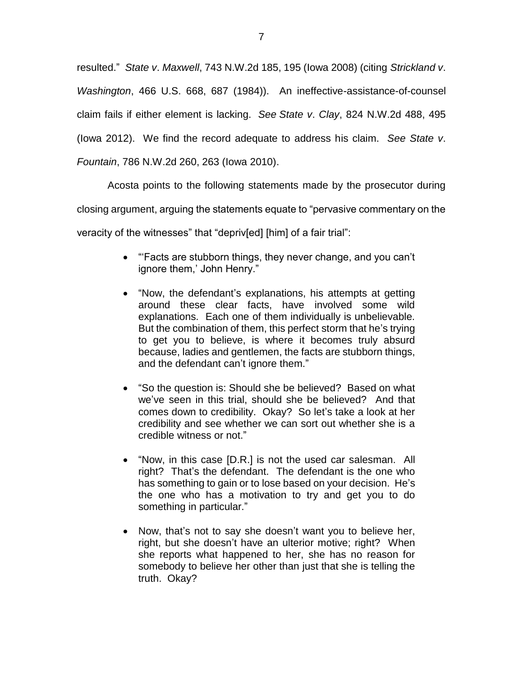resulted." *State v*. *Maxwell*, 743 N.W.2d 185, 195 (Iowa 2008) (citing *Strickland v*. *Washington*, 466 U.S. 668, 687 (1984)). An ineffective-assistance-of-counsel claim fails if either element is lacking. *See State v*. *Clay*, 824 N.W.2d 488, 495 (Iowa 2012). We find the record adequate to address his claim. *See State v*. *Fountain*, 786 N.W.2d 260, 263 (Iowa 2010).

Acosta points to the following statements made by the prosecutor during closing argument, arguing the statements equate to "pervasive commentary on the veracity of the witnesses" that "depriv[ed] [him] of a fair trial":

- "Facts are stubborn things, they never change, and you can't ignore them,' John Henry."
- "Now, the defendant's explanations, his attempts at getting around these clear facts, have involved some wild explanations. Each one of them individually is unbelievable. But the combination of them, this perfect storm that he's trying to get you to believe, is where it becomes truly absurd because, ladies and gentlemen, the facts are stubborn things, and the defendant can't ignore them."
- "So the question is: Should she be believed? Based on what we've seen in this trial, should she be believed? And that comes down to credibility. Okay? So let's take a look at her credibility and see whether we can sort out whether she is a credible witness or not."
- "Now, in this case [D.R.] is not the used car salesman. All right? That's the defendant. The defendant is the one who has something to gain or to lose based on your decision. He's the one who has a motivation to try and get you to do something in particular."
- Now, that's not to say she doesn't want you to believe her, right, but she doesn't have an ulterior motive; right? When she reports what happened to her, she has no reason for somebody to believe her other than just that she is telling the truth. Okay?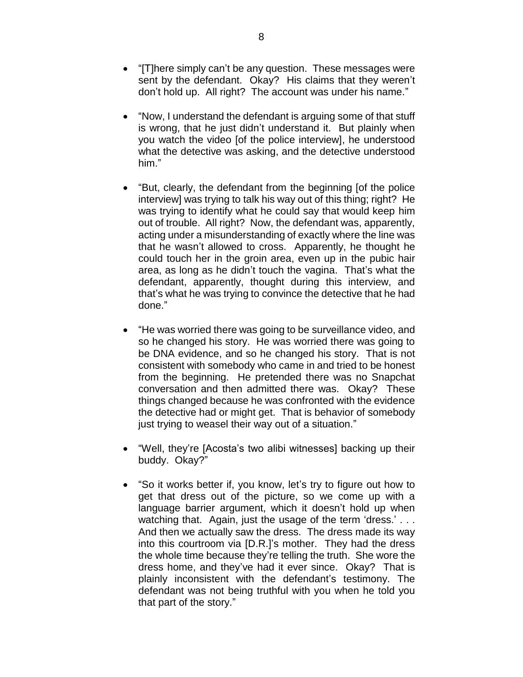- "[T]here simply can't be any question. These messages were sent by the defendant. Okay? His claims that they weren't don't hold up. All right? The account was under his name."
- "Now, I understand the defendant is arguing some of that stuff is wrong, that he just didn't understand it. But plainly when you watch the video [of the police interview], he understood what the detective was asking, and the detective understood him."
- "But, clearly, the defendant from the beginning [of the police interview] was trying to talk his way out of this thing; right? He was trying to identify what he could say that would keep him out of trouble. All right? Now, the defendant was, apparently, acting under a misunderstanding of exactly where the line was that he wasn't allowed to cross. Apparently, he thought he could touch her in the groin area, even up in the pubic hair area, as long as he didn't touch the vagina. That's what the defendant, apparently, thought during this interview, and that's what he was trying to convince the detective that he had done."
- "He was worried there was going to be surveillance video, and so he changed his story. He was worried there was going to be DNA evidence, and so he changed his story. That is not consistent with somebody who came in and tried to be honest from the beginning. He pretended there was no Snapchat conversation and then admitted there was. Okay? These things changed because he was confronted with the evidence the detective had or might get. That is behavior of somebody just trying to weasel their way out of a situation."
- "Well, they're [Acosta's two alibi witnesses] backing up their buddy. Okay?"
- "So it works better if, you know, let's try to figure out how to get that dress out of the picture, so we come up with a language barrier argument, which it doesn't hold up when watching that. Again, just the usage of the term 'dress.' . . . And then we actually saw the dress. The dress made its way into this courtroom via [D.R.]'s mother. They had the dress the whole time because they're telling the truth. She wore the dress home, and they've had it ever since. Okay? That is plainly inconsistent with the defendant's testimony. The defendant was not being truthful with you when he told you that part of the story."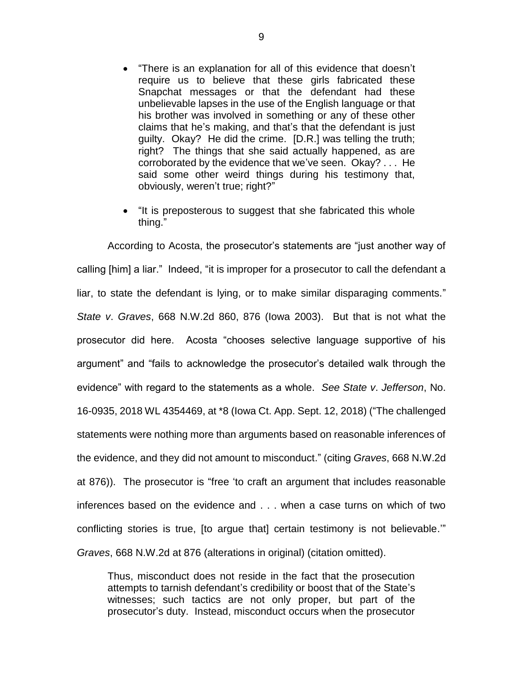- "There is an explanation for all of this evidence that doesn't require us to believe that these girls fabricated these Snapchat messages or that the defendant had these unbelievable lapses in the use of the English language or that his brother was involved in something or any of these other claims that he's making, and that's that the defendant is just guilty. Okay? He did the crime. [D.R.] was telling the truth; right? The things that she said actually happened, as are corroborated by the evidence that we've seen. Okay? . . . He said some other weird things during his testimony that, obviously, weren't true; right?"
- "It is preposterous to suggest that she fabricated this whole thing."

According to Acosta, the prosecutor's statements are "just another way of calling [him] a liar." Indeed, "it is improper for a prosecutor to call the defendant a liar, to state the defendant is lying, or to make similar disparaging comments." *State v*. *Graves*, 668 N.W.2d 860, 876 (Iowa 2003). But that is not what the prosecutor did here. Acosta "chooses selective language supportive of his argument" and "fails to acknowledge the prosecutor's detailed walk through the evidence" with regard to the statements as a whole. *See State v*. *Jefferson*, No. 16-0935, 2018 WL 4354469, at \*8 (Iowa Ct. App. Sept. 12, 2018) ("The challenged statements were nothing more than arguments based on reasonable inferences of the evidence, and they did not amount to misconduct." (citing *Graves*, 668 N.W.2d at 876)). The prosecutor is "free 'to craft an argument that includes reasonable inferences based on the evidence and . . . when a case turns on which of two conflicting stories is true, [to argue that] certain testimony is not believable.'" *Graves*, 668 N.W.2d at 876 (alterations in original) (citation omitted).

Thus, misconduct does not reside in the fact that the prosecution attempts to tarnish defendant's credibility or boost that of the State's witnesses; such tactics are not only proper, but part of the prosecutor's duty. Instead, misconduct occurs when the prosecutor